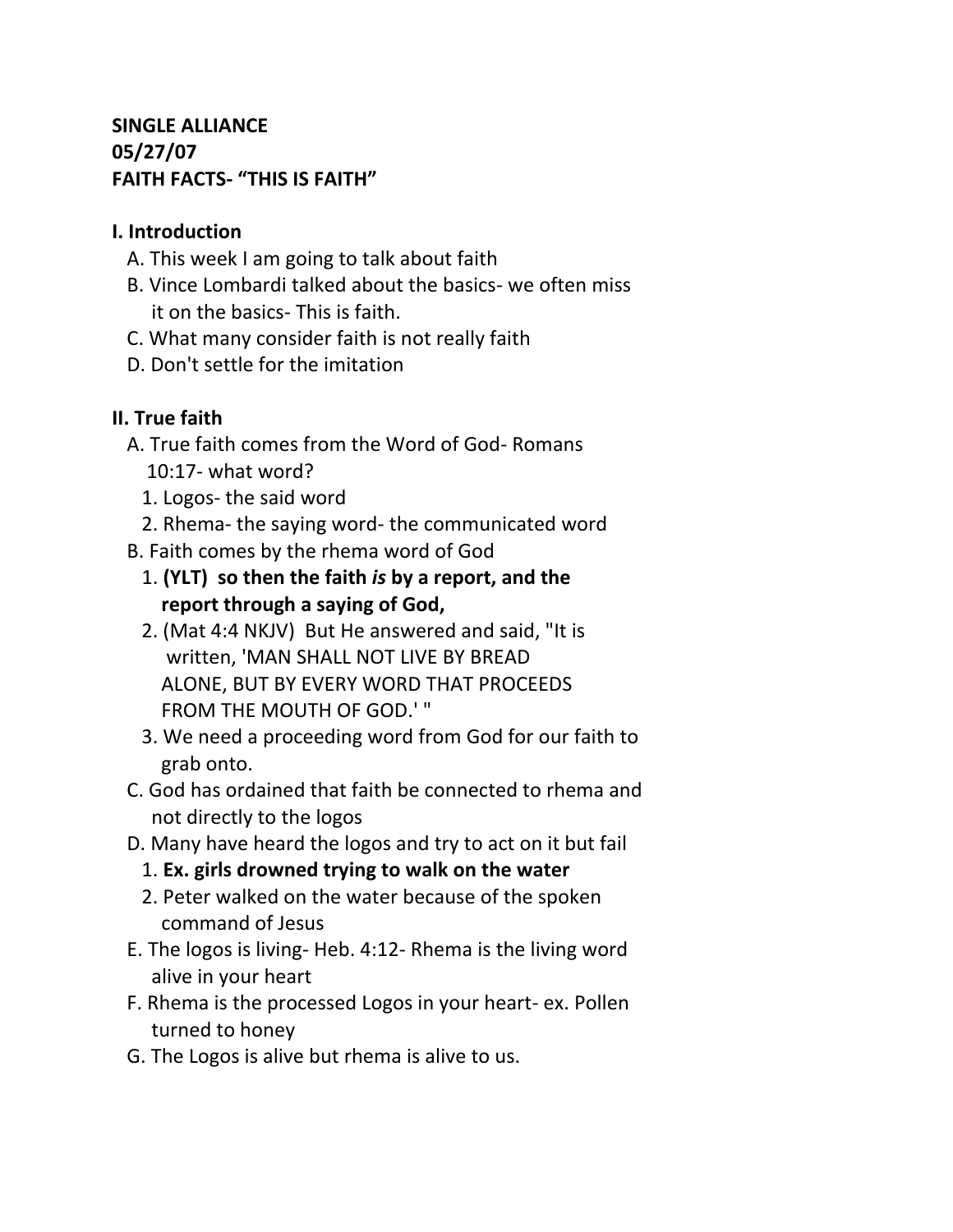# **SINGLE ALLIANCE 05/27/07 FAITH FACTS- "THIS IS FAITH"**

### **I. Introduction**

- A. This week I am going to talk about faith
- B. Vince Lombardi talked about the basics- we often miss it on the basics- This is faith.
- C. What many consider faith is not really faith
- D. Don't settle for the imitation

# **II. True faith**

- A. True faith comes from the Word of God- Romans 10:17- what word?
	- 1. Logos- the said word
	- 2. Rhema- the saying word- the communicated word
- B. Faith comes by the rhema word of God
	- 1. **(YLT) so then the faith** *is* **by a report, and the report through a saying of God,**
	- 2. (Mat 4:4 NKJV) But He answered and said, "It is written, 'MAN SHALL NOT LIVE BY BREAD ALONE, BUT BY EVERY WORD THAT PROCEEDS FROM THE MOUTH OF GOD.' "
	- 3. We need a proceeding word from God for our faith to grab onto.
- C. God has ordained that faith be connected to rhema and not directly to the logos
- D. Many have heard the logos and try to act on it but fail
	- 1. **Ex. girls drowned trying to walk on the water**
	- 2. Peter walked on the water because of the spoken command of Jesus
- E. The logos is living- Heb. 4:12- Rhema is the living word alive in your heart
- F. Rhema is the processed Logos in your heart- ex. Pollen turned to honey
- G. The Logos is alive but rhema is alive to us.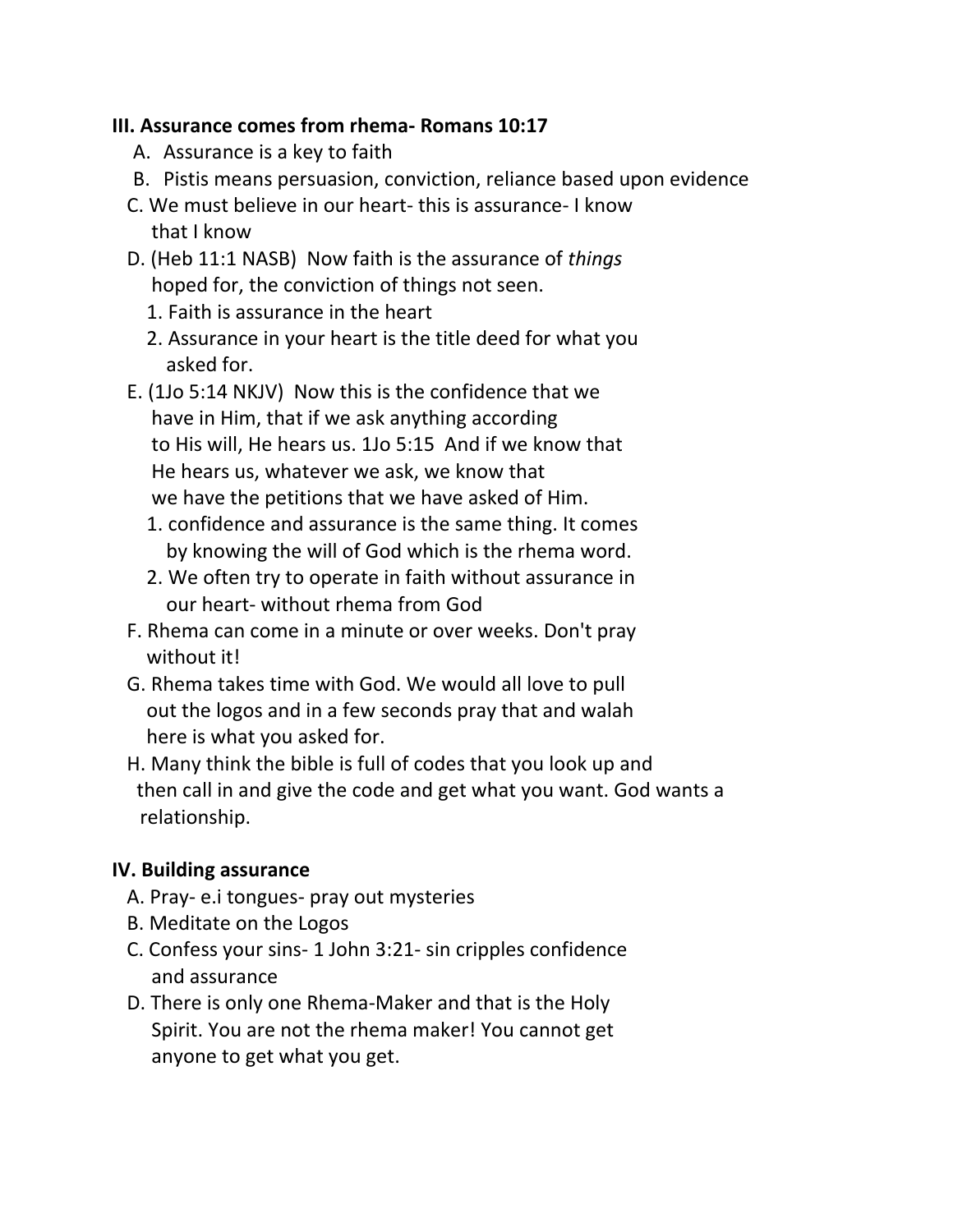### **III. Assurance comes from rhema- Romans 10:17**

- A. Assurance is a key to faith
- B. Pistis means persuasion, conviction, reliance based upon evidence
- C. We must believe in our heart- this is assurance- I know that I know
- D. (Heb 11:1 NASB) Now faith is the assurance of *things* hoped for, the conviction of things not seen.
	- 1. Faith is assurance in the heart
	- 2. Assurance in your heart is the title deed for what you asked for.
- E. (1Jo 5:14 NKJV) Now this is the confidence that we have in Him, that if we ask anything according to His will, He hears us. 1Jo 5:15 And if we know that He hears us, whatever we ask, we know that we have the petitions that we have asked of Him.
	- 1. confidence and assurance is the same thing. It comes by knowing the will of God which is the rhema word.
	- 2. We often try to operate in faith without assurance in our heart- without rhema from God
- F. Rhema can come in a minute or over weeks. Don't pray without it!
- G. Rhema takes time with God. We would all love to pull out the logos and in a few seconds pray that and walah here is what you asked for.
- H. Many think the bible is full of codes that you look up and then call in and give the code and get what you want. God wants a relationship.

# **IV. Building assurance**

- A. Pray- e.i tongues- pray out mysteries
- B. Meditate on the Logos
- C. Confess your sins- 1 John 3:21- sin cripples confidence and assurance
- D. There is only one Rhema-Maker and that is the Holy Spirit. You are not the rhema maker! You cannot get anyone to get what you get.